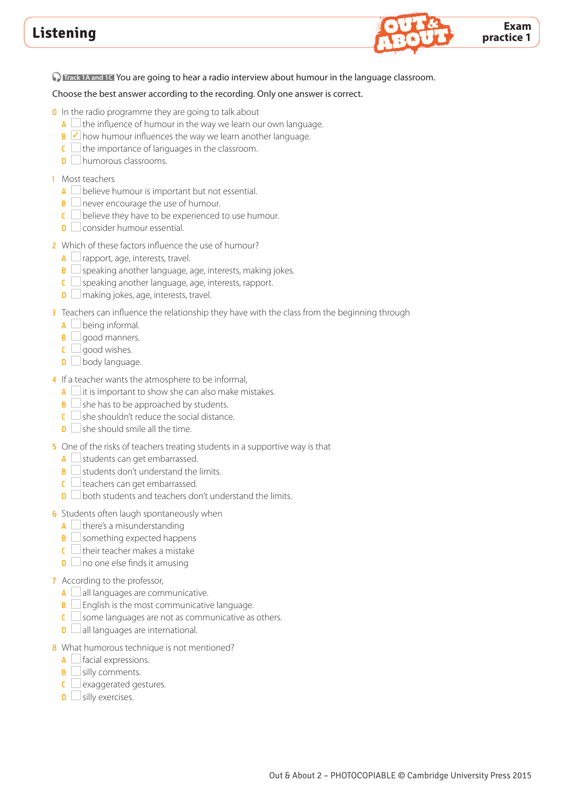

 **Track 1A and 1C** You are going to hear a radio interview about humour in the language classroom.

#### Choose the best answer according to the recording. Only one answer is correct.

- **0** In the radio programme they are going to talk about
	- $A \Box$  the influence of humour in the way we learn our own language.
	- $\mathsf{B}$   $\checkmark$  how humour influences the way we learn another language.
	- $\epsilon$   $\Box$  the importance of languages in the classroom.
	- D humorous classrooms.

#### 1 Most teachers

- $A \Box$  believe humour is important but not essential.
- $\overline{B}$  never encourage the use of humour.
- $C$  believe they have to be experienced to use humour.
- D **Consider humour essential.**
- 2 Which of these factors influence the use of humour?
	- $A \Box$  rapport, age, interests, travel.
	- $\mathbf{B} \square$  speaking another language, age, interests, making jokes.
	- $\epsilon$  speaking another language, age, interests, rapport.
	- D making jokes, age, interests, travel.
- 3 Teachers can influence the relationship they have with the class from the beginning through
	- $A \Box$  being informal.
	- $\mathbf{B} \square$  good manners.
	- $\mathsf{C} \square$  good wishes.
	- $\Box$  body language.
- 4 If a teacher wants the atmosphere to be informal,
	- $A \Box$  it is important to show she can also make mistakes.
	- $\mathbf{B} \square$  she has to be approached by students.
	- $\mathsf{C} \subseteq \mathsf{she}$  shouldn't reduce the social distance.
	- $\Box$  she should smile all the time.
- 5 One of the risks of teachers treating students in a supportive way is that
	- $A \square$  students can get embarrassed.
	- $\overline{B}$  students don't understand the limits.
	- $\mathsf{C} \square$  teachers can get embarrassed.
	- $\Box$  both students and teachers don't understand the limits.
- **6** Students often laugh spontaneously when
	- $A \Box$  there's a misunderstanding
	- $\mathbf{B}$  something expected happens
	- $\mathfrak{c}$   $\Box$  their teacher makes a mistake
	- $\Box$  no one else finds it amusing
- 7 According to the professor,
	- $A \Box$  all languages are communicative.
	- $\mathbf{B}$   $\Box$  English is the most communicative language.
	- $\overline{\mathsf{c}}$  some languages are not as communicative as others.
	- $\Box$  all languages are international.
- 8 What humorous technique is not mentioned?
	- $\overline{A}$   $\Box$  facial expressions.
	- $\mathbf{B}$  silly comments.
	- $\mathsf{C} \square$  exaggerated gestures.
	- $\mathbf{D}$  silly exercises.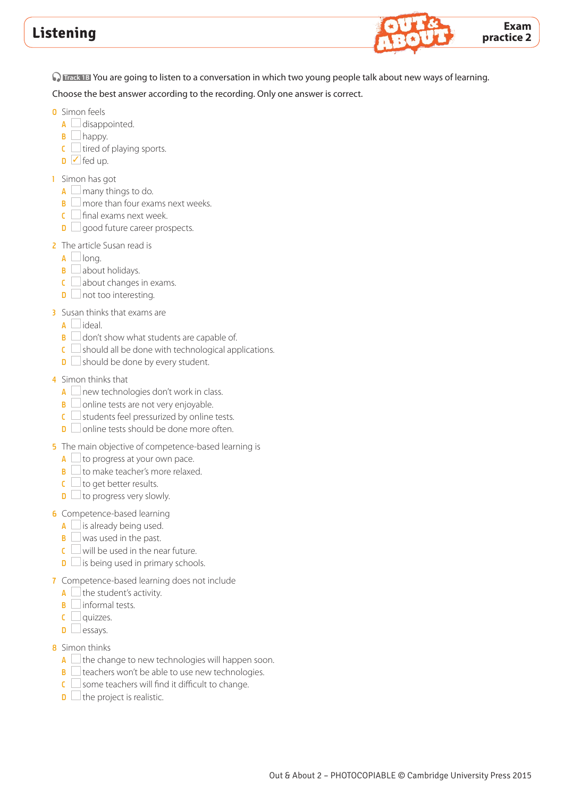

**O Track 1B** You are going to listen to a conversation in which two young people talk about new ways of learning.

- **0** Simon feels
	- $A \Box$  disappointed.
	- $\mathsf{B}$  happy.
	- $\mathfrak{c} \square$  tired of playing sports.
	- $D \nightharpoonup$  fed up.
- 1 Simon has got
	- $A \Box$  many things to do.
	- $\mathbf{B} \square$  more than four exams next weeks.
	- $\mathsf{C} \square$  final exams next week.
	- $\Box$  good future career prospects.
- 2 The article Susan read is
	- $A$  |  $\Box$   $\Box$   $\Box$
	- $\mathbf{B}$  about holidays.
	- $\mathsf{C} \square$  about changes in exams.
	- $\mathbf{D}$  not too interesting.
- 3 Susan thinks that exams are
	- $\overline{A}$  ideal.
	- $\mathbf{B} \Box$  don't show what students are capable of.
	- $\overline{C}$  should all be done with technological applications.
	- $\mathbf{D}$   $\Box$  should be done by every student.
- 4 Simon thinks that
	- $A \Box$  new technologies don't work in class.
	- $\overline{B}$  online tests are not very enjoyable.
	- $\overline{\mathsf{c}}$  students feel pressurized by online tests.
	- $\Box$  online tests should be done more often.
- 5 The main objective of competence-based learning is
- $A \Box$  to progress at your own pace.
- $\mathbf{B}$  to make teacher's more relaxed.
- $\mathfrak{c} \square$  to get better results.
- $\Box$  to progress very slowly.
- 6 Competence-based learning
	- $\overline{A}$  is already being used.
	- $\mathbf{B} \square$  was used in the past.
	- $\mathsf{C}$   $\Box$  will be used in the near future.
	- $\mathbf{D}$  is being used in primary schools.
- 7 Competence-based learning does not include
- $\overline{A}$   $\Box$  the student's activity.
- $\mathbf{B}$  informal tests.
- $\mathsf{c}$  quizzes.
- $\Box$  essays.
- **8** Simon thinks
	- $A \Box$  the change to new technologies will happen soon.
	- $\mathbf{B}$   $\Box$  teachers won't be able to use new technologies.
	- $\mathsf{C} \square$  some teachers will find it difficult to change.
	- $\mathbf{D}$   $\Box$  the project is realistic.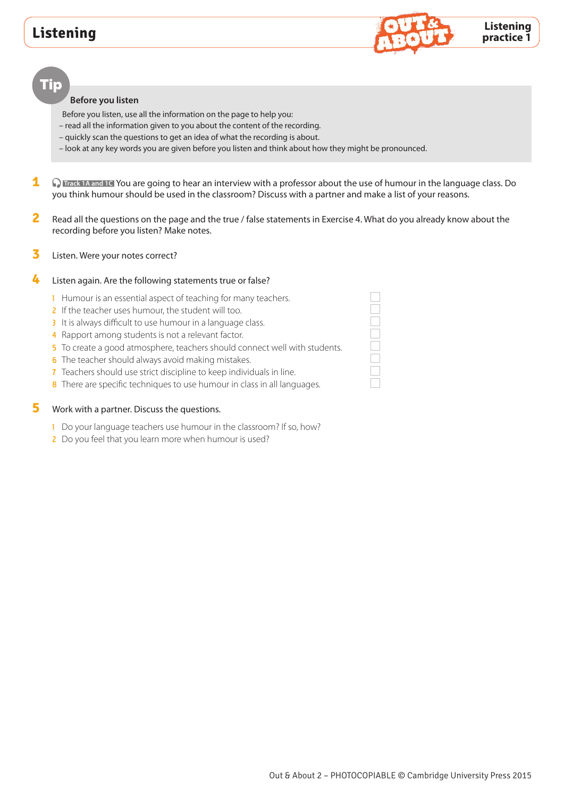

### Tip

#### **Before you listen**

Before you listen, use all the information on the page to help you:

- read all the information given to you about the content of the recording.
- quickly scan the questions to get an idea of what the recording is about.
- look at any key words you are given before you listen and think about how they might be pronounced.
- **1 1 O** Track 1A and 1C You are going to hear an interview with a professor about the use of humour in the language class. Do you think humour should be used in the classroom? Discuss with a partner and make a list of your reasons.
- **2** Read all the questions on the page and the true / false statements in Exercise 4. What do you already know about the recording before you listen? Make notes.
- **3** Listen. Were your notes correct?

### **4** Listen again. Are the following statements true or false?

- 1 Humour is an essential aspect of teaching for many teachers.
- 2 If the teacher uses humour, the student will too.
- 3 It is always difficult to use humour in a language class.
- 4 Rapport among students is not a relevant factor.
- 5 To create a good atmosphere, teachers should connect well with students.
- **6** The teacher should always avoid making mistakes.
- 7 Teachers should use strict discipline to keep individuals in line.
- 8 There are specific techniques to use humour in class in all languages.

### **5** Work with a partner. Discuss the questions.

- 1 Do your language teachers use humour in the classroom? If so, how?
- 2 Do you feel that you learn more when humour is used?

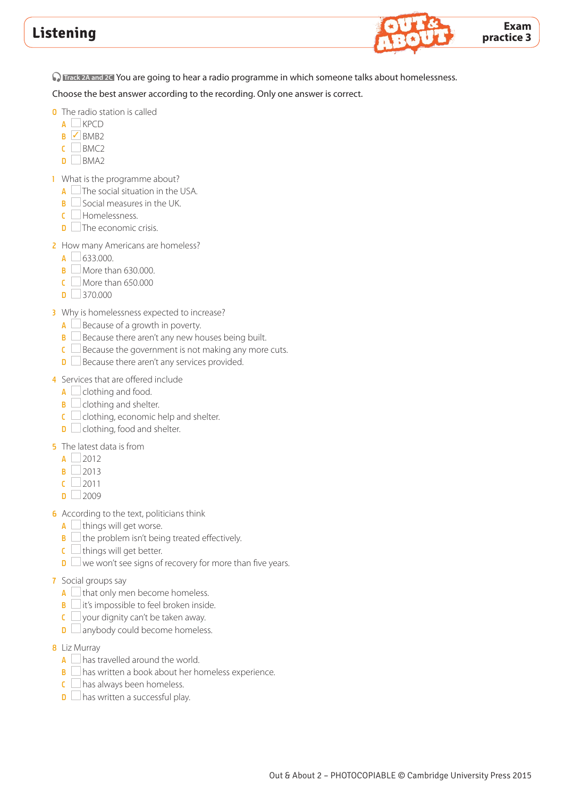

 **Track 2A and 2C** You are going to hear a radio programme in which someone talks about homelessness.

Choose the best answer according to the recording. Only one answer is correct.

- 0 The radio station is called
	- $A$  **KPCD**
	- $B \nightharpoonup$  BMB2
	- $C \square$  BMC<sub>2</sub>
	- $D$  BMA2
- 1 What is the programme about?
	- $\overline{A}$  The social situation in the USA.
	- $\mathbf{B} \square$  Social measures in the UK.
	- C Homelessness.
	- $\Box$  The economic crisis.
- 2 How many Americans are homeless?
	- $A \Box 633.000$ .
	- $\overline{B}$  More than 630,000.
	- $C$  More than 650,000
	- $\Box$  370.000
- 3 Why is homelessness expected to increase?
	- $A \Box$  Because of a growth in poverty.
	- $\mathbf{B} \Box$  Because there aren't any new houses being built.
	- $C \Box$  Because the government is not making any more cuts.
	- $\Box$  Because there aren't any services provided.

### 4 Services that are offered include

- **A** clothing and food.
- $\mathbf{B} \square$  clothing and shelter.
- $\mathsf{C} \square$  clothing, economic help and shelter.
- $\Box$  clothing, food and shelter.
- 5 The latest data is from
	- $A \Box 2012$
	- $\overline{B}$  2013
	- $C \square$  2011
	- $\Box$  2009
- **6** According to the text, politicians think
	- $A \Box$  things will get worse.
	- $\mathbf{B}$   $\Box$  the problem isn't being treated effectively.
	- $\mathsf{C}$   $\Box$  things will get better.
	- $\Box$  we won't see signs of recovery for more than five years.

### 7 Social groups say

- $A \Box$  that only men become homeless.
- $\mathbf{B}$  it's impossible to feel broken inside.
- $\overline{C}$  your dignity can't be taken away.
- $\Box$  anybody could become homeless.
- 8 Liz Murray
	- $\overline{A}$  has travelled around the world.
	- $\mathbf{B} \Box$  has written a book about her homeless experience.
	- $C$  has always been homeless.
	- $\Box$  has written a successful play.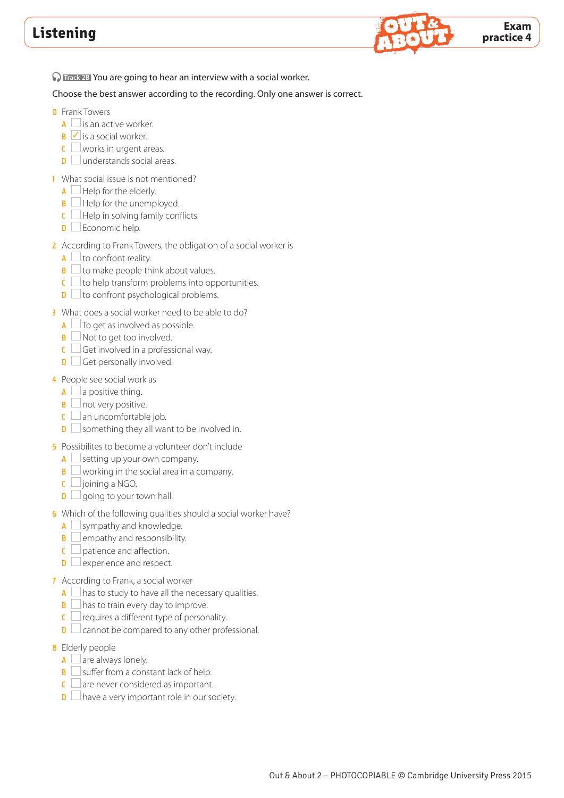

**C Track 2B** You are going to hear an interview with a social worker.

- **0** Frank Towers
	- $\overline{A}$  is an active worker.
	- $\mathbf{B} \times \mathbf{S}$  is a social worker.
	- $C$  works in urgent areas.
	- $\Box$  understands social areas.
- 1 What social issue is not mentioned?
	- $A$   $\Box$  Help for the elderly.
	- $\mathbf{B}$   $\Box$  Help for the unemployed.
	- $C$  Help in solving family conflicts.
	- $\mathsf{D}$  Economic help.
- 2 According to Frank Towers, the obligation of a social worker is
	- $\overline{A}$   $\Box$  to confront reality.
	- $\mathbf{B}$   $\Box$  to make people think about values.
	- $\mathsf{c} \square$  to help transform problems into opportunities.
	- $\Box$  to confront psychological problems.
- 3 What does a social worker need to be able to do?
	- $\overline{A}$   $\Box$  To get as involved as possible.
	- $\mathbf{B} \square$  Not to get too involved.
	- $\overline{C}$  Get involved in a professional way.
	- $\Box$  Get personally involved.
- 4 People see social work as
	- $\overline{A}$  a positive thing.
	- $\mathbf{B} \square$  not very positive.
	- $\mathsf{C} \square$  an uncomfortable job.
	- $\Box$  something they all want to be involved in.
- 5 Possibilites to become a volunteer don't include
	- $A \Box$  setting up your own company.
	- $\mathbf{B} \square$  working in the social area in a company.
	- $\mathsf{C}$  ioining a NGO.
	- $\Box$  going to your town hall.
- 6 Which of the following qualities should a social worker have?
	- $A \Box$  sympathy and knowledge.
	- $\mathbf{B} \square$  empathy and responsibility.
	- $\mathsf{C} \Box$  patience and affection.
	- $\mathbf{D}$   $\Box$  experience and respect.
- 7 According to Frank, a social worker
	- $A \Box$  has to study to have all the necessary qualities.
	- $\mathbf{B}$   $\Box$  has to train every day to improve.
	- $C \Box$  requires a different type of personality.
	- $\Box$  cannot be compared to any other professional.
- **8** Elderly people
	- $\overline{A}$  are always lonely.
	- $\mathbf{B}$  suffer from a constant lack of help.
	- $\overline{C}$  are never considered as important.
	- $\Box$  have a very important role in our society.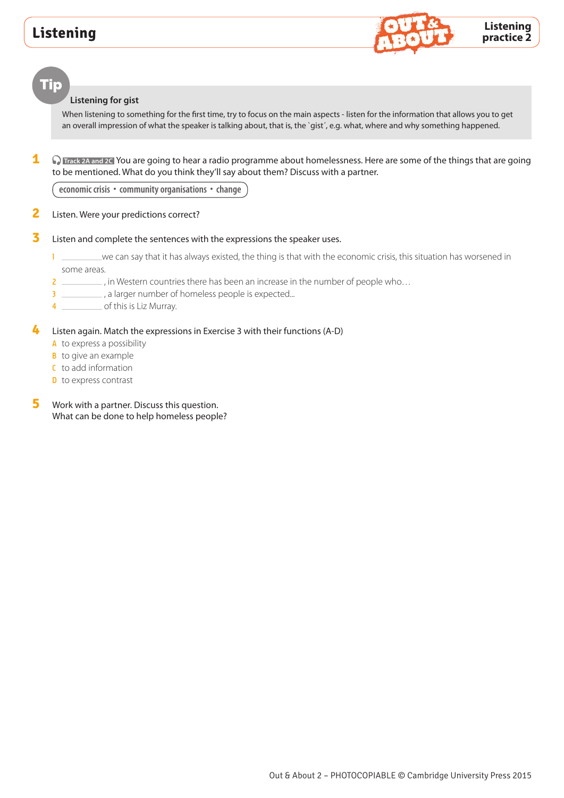

### Tip

#### **Listening for gist**

When listening to something for the first time, try to focus on the main aspects - listen for the information that allows you to get an overall impression of what the speaker is talking about, that is, the `gist´, e.g. what, where and why something happened.

**1** • **O** Track 2A and 2C You are going to hear a radio programme about homelessness. Here are some of the things that are going to be mentioned. What do you think they'll say about them? Discuss with a partner.

**economic crisis • community organisations • change**

- **2** Listen. Were your predictions correct?
- **3** Listen and complete the sentences with the expressions the speaker uses.
	- 1 we can say that it has always existed, the thing is that with the economic crisis, this situation has worsened in some areas.
	- 2 <sub>1</sub> in Western countries there has been an increase in the number of people who...
	- 3 **Julie 2016**, a larger number of homeless people is expected...
	- 4 **of this is Liz Murray.**

**4** Listen again. Match the expressions in Exercise 3 with their functions (A-D)

- A to express a possibility
- **B** to give an example
- C to add information
- D to express contrast
- **5** Work with a partner. Discuss this question. What can be done to help homeless people?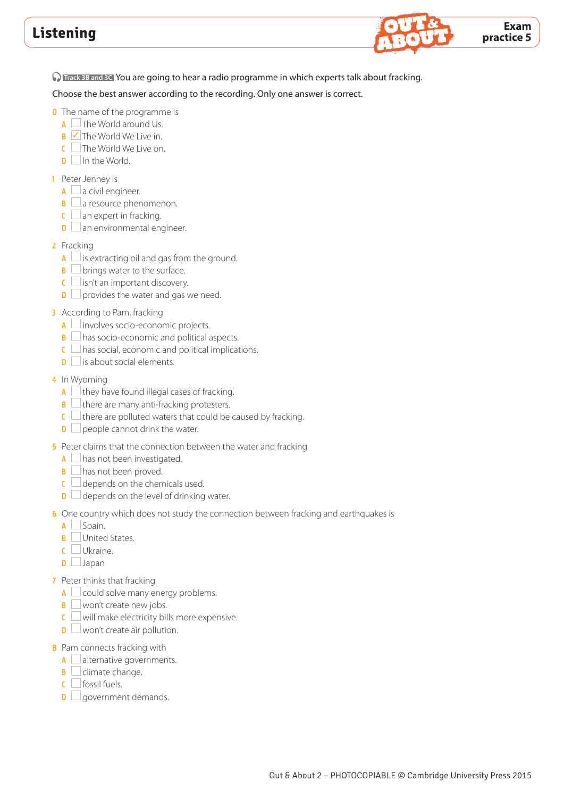

 **Track 3B and 3C** You are going to hear a radio programme in which experts talk about fracking.

- **0** The name of the programme is
	- $\overline{A}$   $\Box$  The World around Us.
	- $\mathbf{B}$   $\checkmark$  The World We Live in.
	- $C$  The World We Live on.
	- $\Box$  In the World.
- **1** Peter Jenney is
	- $A \Box a$  civil engineer.
	- $\mathbf{B} \square$  a resource phenomenon.
	- $\mathsf{C} \square$  an expert in fracking.
	- $\Box$  an environmental engineer.
- 2 Fracking
	- $A \Box$  is extracting oil and gas from the ground.
	- $\mathbf{B}$   $\Box$  brings water to the surface.
	- $\mathbf{C}$  isn't an important discovery.
	- $\Box$  provides the water and gas we need.
- 3 According to Pam, fracking
	- $A$  involves socio-economic projects.
	- $\mathbf{B} \square$  has socio-economic and political aspects.
	- $\epsilon$   $\Box$  has social, economic and political implications.
	- $\mathbf{D}$  is about social elements.
- 4 In Wyoming
	- $A \Box$  they have found illegal cases of fracking.
	- $\overline{B}$  there are many anti-fracking protesters.
	- $\epsilon$   $\Box$  there are polluted waters that could be caused by fracking.
	- $\Box$  people cannot drink the water.
- 5 Peter claims that the connection between the water and fracking
	- $A \Box$  has not been investigated.
	- $\mathbf{B}$   $\Box$  has not been proved.
	- $\mathbf{C}$  depends on the chemicals used.
	- $\Box$  depends on the level of drinking water.
- 6 One country which does not study the connection between fracking and earthquakes is
	- $A \square$  Spain.
	- **B** United States.
	- C Ukraine.
	- $\mathsf{D}$   $\Box$  Japan
- 7 Peter thinks that fracking
	- $A \Box$  could solve many energy problems.
	- $\mathbf{B}$  won't create new jobs.
	- $C$  will make electricity bills more expensive.
	- $\Box$  won't create air pollution.
- 8 Pam connects fracking with
	- $A \Box$  alternative governments.
	- $\mathbf{B}$   $\Box$  climate change.
	- $\mathsf{C}$  fossil fuels.
	- $\Box$  government demands.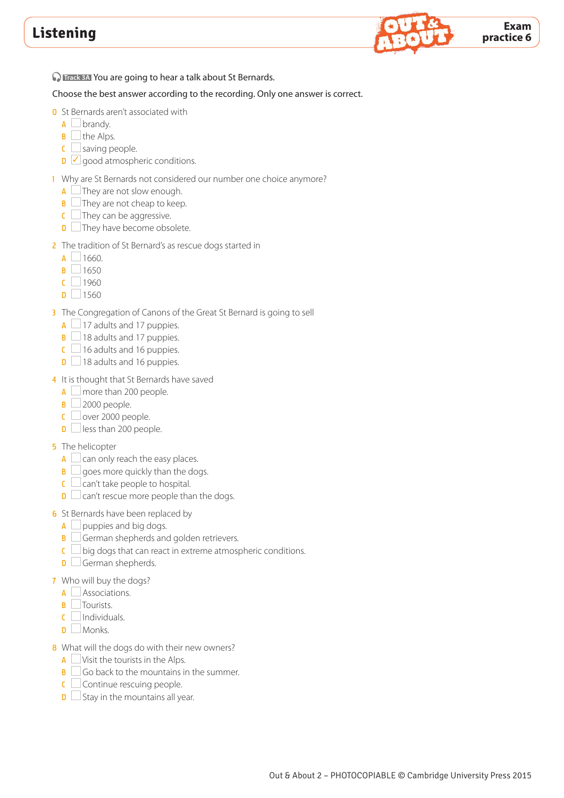

**C Track 3A** You are going to hear a talk about St Bernards.

- **0** St Bernards aren't associated with
	- $A$  brandy.
	- $\mathsf{B}$  the Alps.
	- $\mathfrak{c} \square$  saving people.
	- $\overline{D}$   $\overline{\smash{\bigtriangledown}}$  good atmospheric conditions.
- 1 Why are St Bernards not considered our number one choice anymore?
	- $A$   $\Box$  They are not slow enough.
	- $\mathbf{B}$   $\Box$  They are not cheap to keep.
	- $\mathsf{C}$  They can be aggressive.
	- $\Box$  They have become obsolete.
- 2 The tradition of St Bernard's as rescue dogs started in
	- $A \cup 1660.$
	- $\mathsf{B}$  1650
	- $C \Box 1960$
	- $\mathsf{D}$  1560
- 3 The Congregation of Canons of the Great St Bernard is going to sell
	- $A \Box$  17 adults and 17 puppies.
	- $\overline{B}$  18 adults and 17 puppies.
	- $\overline{C}$  16 adults and 16 puppies.
	- $\mathbf{D}$   $\Box$  18 adults and 16 puppies.
- 4 It is thought that St Bernards have saved
	- $A \Box$  more than 200 people.
	- $\overline{B}$  2000 people.
	- $\mathsf{C}$  over 2000 people.
	- $\Box$  less than 200 people.
- **5** The helicopter
	- $A \Box$  can only reach the easy places.
	- $\mathbf{B}$  goes more quickly than the dogs.
	- $C \square$  can't take people to hospital.
	- $\Box$  can't rescue more people than the dogs.
- **6** St Bernards have been replaced by
	- $A \Box$  puppies and big dogs.
	- B German shepherds and golden retrievers.
	- $\epsilon$  big dogs that can react in extreme atmospheric conditions.
	- $\Box$  German shepherds.
- 7 Who will buy the dogs?
- A Associations.
- $B$  Tourists
- $C$  Individuals.
- **D** Monks.
- 8 What will the dogs do with their new owners?
	- $\overline{A}$   $\Box$  Visit the tourists in the Alps.
	- $\overline{B}$   $\Box$  Go back to the mountains in the summer.
	- $C$   $\Box$  Continue rescuing people.
	- $\Box$  Stay in the mountains all year.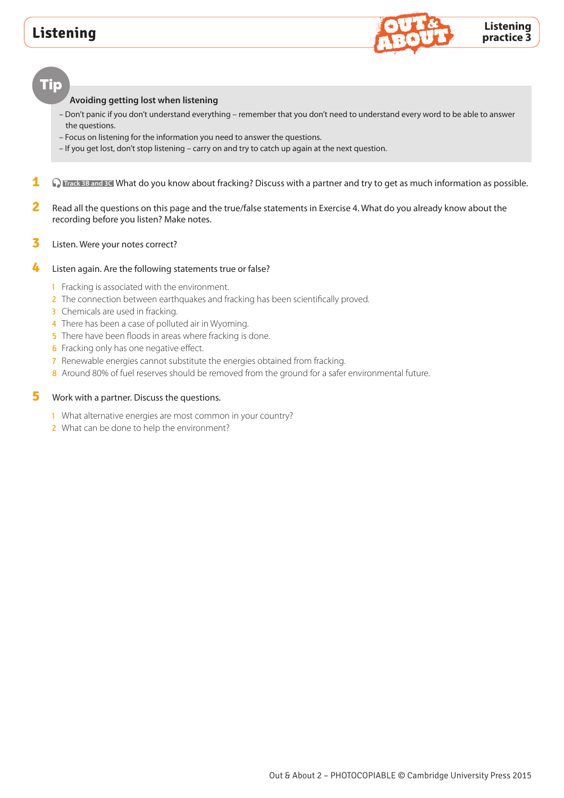

### Tip

#### **Avoiding getting lost when listening**

- Don't panic if you don't understand everything remember that you don't need to understand every word to be able to answer the questions.
- Focus on listening for the information you need to answer the questions.
- If you get lost, don't stop listening carry on and try to catch up again at the next question.
- **1 C** Frack 3B and 3C What do you know about fracking? Discuss with a partner and try to get as much information as possible.
- **2** Read all the questions on this page and the true/false statements in Exercise 4. What do you already know about the recording before you listen? Make notes.
- **3** Listen. Were your notes correct?

### **4** Listen again. Are the following statements true or false?

- **1** Fracking is associated with the environment.
- 2 The connection between earthquakes and fracking has been scientifically proved.
- **3** Chemicals are used in fracking.
- 4 There has been a case of polluted air in Wyoming.
- 5 There have been floods in areas where fracking is done.
- **6** Fracking only has one negative effect.
- 7 Renewable energies cannot substitute the energies obtained from fracking.
- 8 Around 80% of fuel reserves should be removed from the ground for a safer environmental future.

### **5** Work with a partner. Discuss the questions.

- 1 What alternative energies are most common in your country?
- 2 What can be done to help the environment?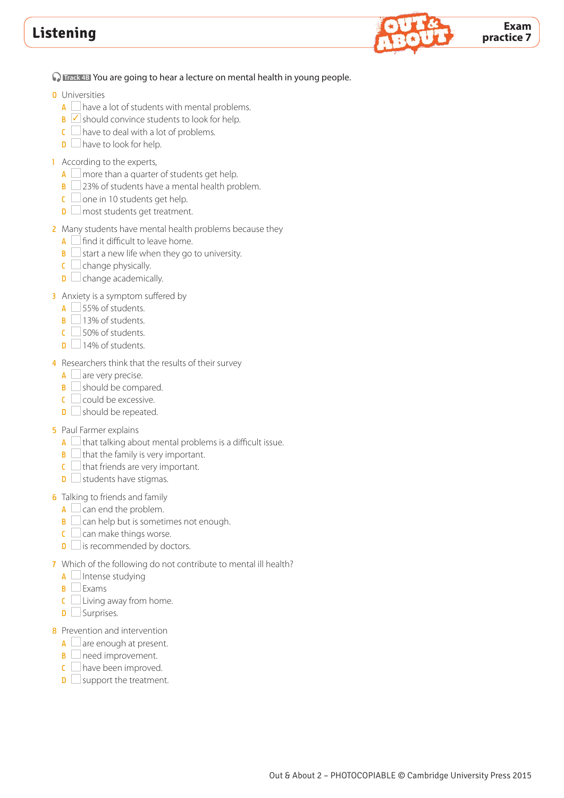

**Exam** 

**C Track 4B** You are going to hear a lecture on mental health in young people.

- **0** Universities
	- $A \Box$  have a lot of students with mental problems.
	- **B v** should convince students to look for help.
	- $\mathsf{C}$  have to deal with a lot of problems.
	- $\Box$  have to look for help.

### 1 According to the experts,

- $A \Box$  more than a quarter of students get help.
- $\overline{B}$  23% of students have a mental health problem.
- $C$  one in 10 students get help.
- $\mathbf{D}$   $\Box$  most students get treatment.
- 2 Many students have mental health problems because they
	- $\overline{A}$   $\Box$  find it difficult to leave home.
	- $\mathbf{B}$   $\Box$  start a new life when they go to university.
	- $\mathfrak{c} \square$  change physically.
	- $\Box$  change academically.
- 3 Anxiety is a symptom suffered by
	- $\overline{A}$  55% of students.
	- **B** 13% of students.
	- $C \cup 50\%$  of students.
	- $\Box$  14% of students.
- 4 Researchers think that the results of their survey
	- $A \Box$  are very precise.
	- $\mathbf{B} \square$  should be compared.
	- $\mathbf{C} \square$  could be excessive.
	- **D** should be repeated.

### **5** Paul Farmer explains

- $A \Box$  that talking about mental problems is a difficult issue.
- $\mathbf{B}$   $\Box$  that the family is very important.
- $\mathsf{C}$   $\Box$  that friends are very important.
- $\mathbf{D}$   $\Box$  students have stigmas.
- **6** Talking to friends and family
	- $A \Box$  can end the problem.
	- $B \Box$  can help but is sometimes not enough.
	- $\mathsf{C} \square$  can make things worse.
	- $\mathbf{D}$  is recommended by doctors.
- 7 Which of the following do not contribute to mental ill health?
	- $\overline{A}$  Intense studving
	- $B$  Exams
	- $\mathsf{C} \square$  Living away from home.
	- $\Box$  Surprises.
- 8 Prevention and intervention
	- $A \Box$  are enough at present.
	- $\mathbf{B} \square$  need improvement.
	- $\mathsf{C}$   $\Box$  have been improved.
	- $\mathbf{D}$  support the treatment.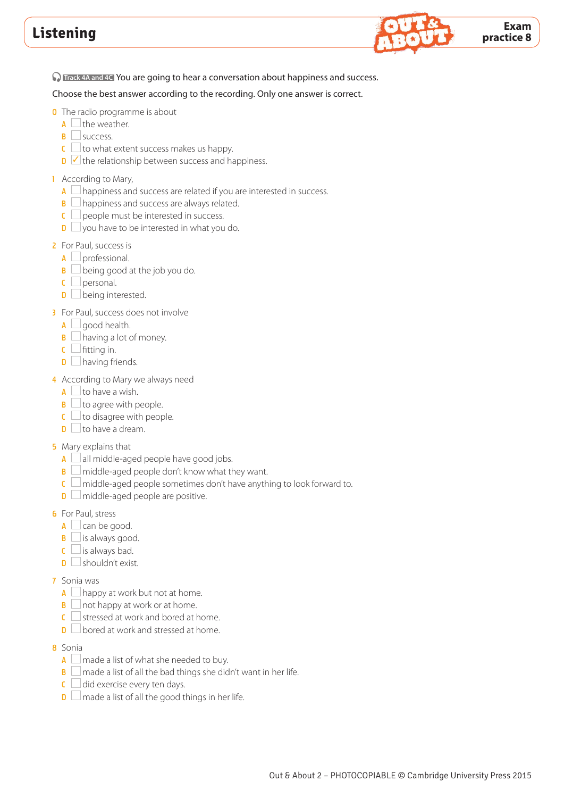

**C Track 4A and 4C** You are going to hear a conversation about happiness and success.

- **0** The radio programme is about
	- $A \Box$  the weather.
	- **B** success.
	- $\mathsf{C} \square$  to what extent success makes us happy.
	- $\mathbf{D}$   $\mathbf{\checkmark}$  the relationship between success and happiness.
- 1 According to Mary,
	- $A \Box$  happiness and success are related if you are interested in success.
	- $\overline{\mathbf{B}}$  happiness and success are always related.
	- $\overline{C}$  people must be interested in success.
	- $\Box$  you have to be interested in what you do.
- 2 For Paul, success is
	- $A \Box$  professional.
	- $\overline{B}$  being good at the job you do.
	- $C$  personal.
	- $\Box$  being interested.
- 3 For Paul, success does not involve
	- $A \Box$  good health.
	- $\mathbf{B}$   $\Box$  having a lot of money.
	- $\mathsf{C}$   $\Box$  fitting in.
	- $\Box$  having friends.
- 4 According to Mary we always need
	- $A \Box$  to have a wish.
	- $\mathbf{B}$   $\Box$  to agree with people.
	- $\mathsf{C} \Box$  to disagree with people.
	- $\mathsf{D}$   $\Box$  to have a dream.
- **5** Mary explains that
	- $A \Box$  all middle-aged people have good jobs.
	- $\mathbf{B}$   $\Box$  middle-aged people don't know what they want.
	- $\epsilon$   $\Box$  middle-aged people sometimes don't have anything to look forward to.
	- $\Box$  middle-aged people are positive.
- **6** For Paul, stress
	- $A \Box$  can be good.
	- $\mathbf{B}$  is always good.
	- $\mathsf{C}$  is always bad.
	- $\mathbf{D}$  shouldn't exist.
- 7 Sonia was
	- $A \Box$  happy at work but not at home.
	- $\mathbf{B}$   $\Box$  not happy at work or at home.
	- $C \subseteq$  stressed at work and bored at home.
	- $\Box$  bored at work and stressed at home.
- 8 Sonia
	- $A \Box$  made a list of what she needed to buy.
	- $\overline{B}$  made a list of all the bad things she didn't want in her life.
	- $\mathsf{C} \square$  did exercise every ten days.
	- $\Box$  made a list of all the good things in her life.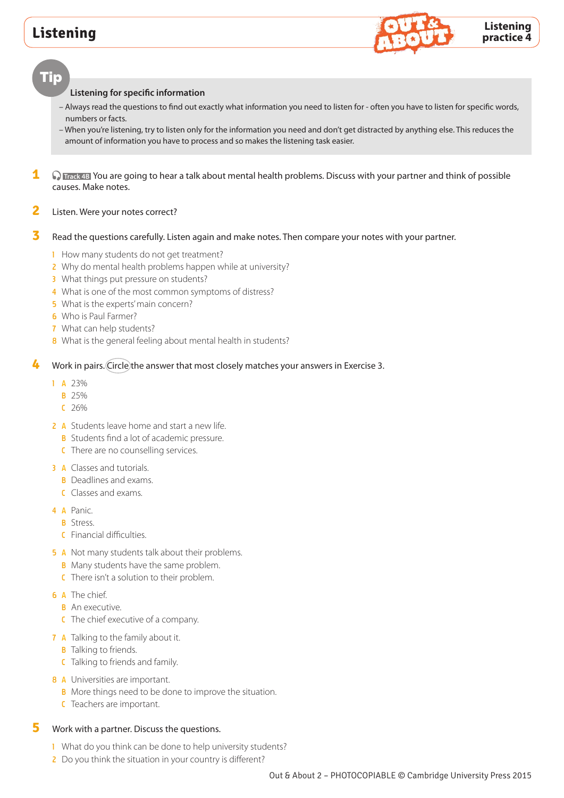

# Tip

### **Listening for specific information**

- Always read the questions to find out exactly what information you need to listen for often you have to listen for specific words, numbers or facts.
- When you're listening, try to listen only for the information you need and don't get distracted by anything else. This reduces the amount of information you have to process and so makes the listening task easier.
- **1 O** Track 4B You are going to hear a talk about mental health problems. Discuss with your partner and think of possible causes. Make notes.
- **2** Listen. Were your notes correct?
- **3** Read the questions carefully. Listen again and make notes. Then compare your notes with your partner.
	- 1 How many students do not get treatment?
	- 2 Why do mental health problems happen while at university?
	- 3 What things put pressure on students?
	- 4 What is one of the most common symptoms of distress?
	- 5 What is the experts' main concern?
	- 6 Who is Paul Farmer?
	- 7 What can help students?
	- 8 What is the general feeling about mental health in students?

#### **4** Work in pairs. Circle the answer that most closely matches your answers in Exercise 3.

- 1 A 23%
- B 25%
- C 26%
- 2 A Students leave home and start a new life.
	- **B** Students find a lot of academic pressure.
	- **C** There are no counselling services.
- 3 A Classes and tutorials.
	- **B** Deadlines and exams.
	- C Classes and exams.
- 4 A Panic.
	- **B** Stress.
	- C Financial difficulties.
- 5 A Not many students talk about their problems.
	- **B** Many students have the same problem.
	- **C** There isn't a solution to their problem.
- 6 A The chief.
	- **B** An executive.
	- **C** The chief executive of a company.
- 7 A Talking to the family about it.
	- **B** Talking to friends.
	- **C** Talking to friends and family.
- 8 A Universities are important.
	- B More things need to be done to improve the situation.
	- **C** Teachers are important.

### **5** Work with a partner. Discuss the questions.

- 1 What do you think can be done to help university students?
- 2 Do you think the situation in your country is different?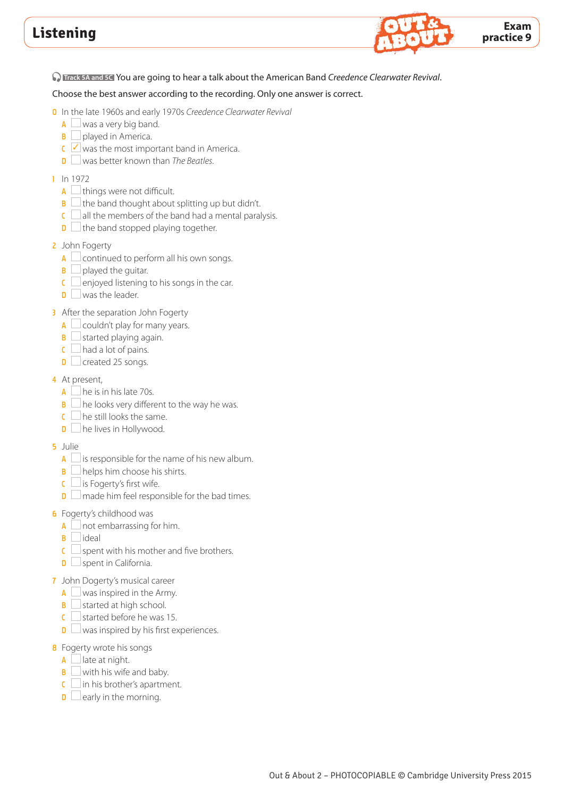

 **Track 5A and 5C** You are going to hear a talk about the American Band *Creedence Clearwater Revival*.

Choose the best answer according to the recording. Only one answer is correct.

0 In the late 1960s and early 1970s *Creedence Clearwater Revival*

- $A \square$  was a very big band.
- $\mathbf{B}$  played in America.
- $\overline{C}$  was the most important band in America.
- D was better known than *The Beatles*.
- 1 In 1972
	- $A \Box$  things were not difficult.
	- $\mathbf{B} \Box$  the band thought about splitting up but didn't.
	- $\epsilon$  all the members of the band had a mental paralysis.
	- $\Box$  the band stopped playing together.
- 2 John Fogerty
	- $A \Box$  continued to perform all his own songs.
	- $\mathbf{B} \Box$  played the quitar.
	- $C \subseteq$  enjoyed listening to his songs in the car.
	- $\mathbf{D}$  was the leader.
- 3 After the separation John Fogerty
	- $A \Box$  couldn't play for many years.
	- $\mathbf{B} \square$  started playing again.
	- $\mathsf{C}$   $\Box$  had a lot of pains.
	- $\mathsf{D}$   $\Box$  created 25 songs.
- 4 At present,
	- $\overline{A}$   $\Box$  he is in his late 70s.
	- $B \Box$  he looks very different to the way he was.
	- $C \Box$  he still looks the same.
	- $\Box$  he lives in Hollywood.
- 5 Julie
	- $A \Box$  is responsible for the name of his new album.
	- $\mathbf{B}$   $\Box$  helps him choose his shirts.
	- $\mathsf{C}$  is Fogerty's first wife.
	- $\Box$  made him feel responsible for the bad times.
- 6 Fogerty's childhood was
	- $A \Box$  not embarrassing for him.
	- $\overline{\mathbf{B}}$  deal
	- $\mathsf{C}$  spent with his mother and five brothers.
	- $\Box$  spent in California.
- 7 John Dogerty's musical career
	- $A \Box$  was inspired in the Army.
	- $\mathbf{B}$  started at high school.
	- $\mathsf{C} \square$  started before he was 15.
	- $\Box$  was inspired by his first experiences.
- 8 Fogerty wrote his songs
	- $A$   $\Box$  late at night.
	- $\mathbf{B}$  with his wife and baby.
	- $\mathbf{C} \square$  in his brother's apartment.
	- $\mathbf{D}$  early in the morning.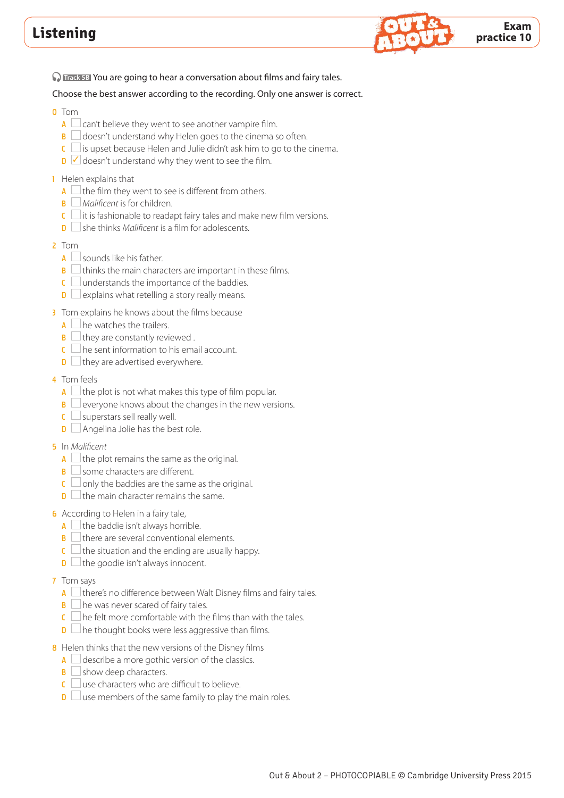

**C Track 5B** You are going to hear a conversation about films and fairy tales.

#### Choose the best answer according to the recording. Only one answer is correct.

### 0 Tom

- $A \Box$  can't believe they went to see another vampire film.
- $\overline{B}$   $\Box$  doesn't understand why Helen goes to the cinema so often.
- $\epsilon$  is upset because Helen and Julie didn't ask him to go to the cinema.
- $\Box$  doesn't understand why they went to see the film.

#### **1** Helen explains that

- $A \cup$  the film they went to see is different from others.
- B *Malificent* is for children.
- $\epsilon$  it is fashionable to readapt fairy tales and make new film versions.
- D she thinks *Malificent* is a film for adolescents.

### 2 Tom

- $\overline{A}$  sounds like his father.
- $\overline{\mathbf{B}}$  thinks the main characters are important in these films.
- $\mathsf{C} \square$  understands the importance of the baddies.
- $\Box$  explains what retelling a story really means.
- 3 Tom explains he knows about the films because
	- $A \Box$  he watches the trailers.
	- $\mathbf{B}$   $\Box$  they are constantly reviewed.
	- $C \Box$  he sent information to his email account.
	- $\mathbf{D}$   $\Box$  they are advertised everywhere.

### 4 Tom feels

- A the plot is not what makes this type of film popular.
- $B \Box$  everyone knows about the changes in the new versions.
- $C \Box$  superstars sell really well.
- $\Box$  Angelina Jolie has the best role.

### 5 In *Malificent*

- $A \Box$  the plot remains the same as the original.
- $\mathbf{B} \square$  some characters are different.
- $\overline{C}$  only the baddies are the same as the original.
- $\Box$  the main character remains the same.

### **6** According to Helen in a fairy tale,

- $A \Box$  the baddie isn't always horrible.
- $\mathbf{B} \Box$  there are several conventional elements.
- $\epsilon$   $\Box$  the situation and the ending are usually happy.
- $\mathbf{D}$   $\Box$  the goodie isn't always innocent.

#### 7 Tom says

- A  $\Box$  there's no difference between Walt Disney films and fairy tales.
- $\mathbf{B}$   $\Box$  he was never scared of fairy tales.
- $\mathsf{C}$   $\Box$  he felt more comfortable with the films than with the tales.
- $\Box$  he thought books were less aggressive than films.
- 8 Helen thinks that the new versions of the Disney films
	- $A \Box$  describe a more gothic version of the classics.
	- $\mathbf{B} \square$  show deep characters.
	- $C \Box$  use characters who are difficult to believe.
	- $\Box$  use members of the same family to play the main roles.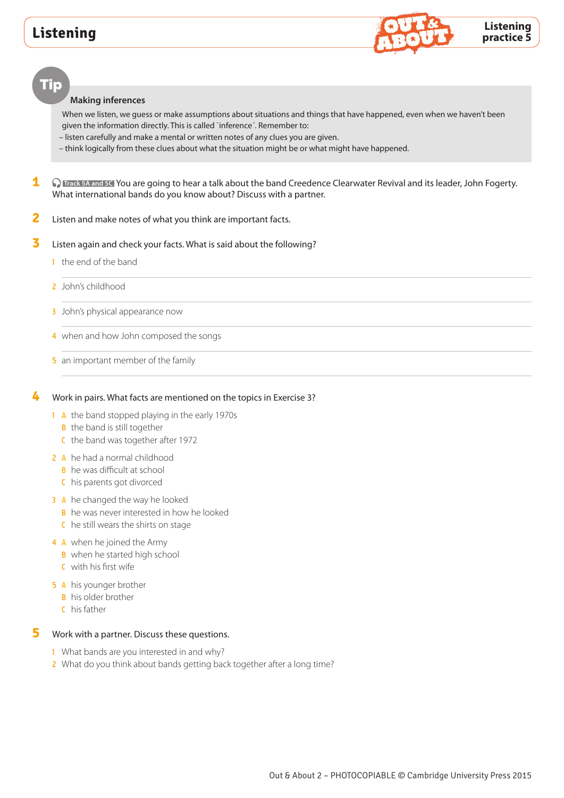

### Tip

#### **Making inferences**

When we listen, we guess or make assumptions about situations and things that have happened, even when we haven't been given the information directly. This is called `inference´. Remember to:

– listen carefully and make a mental or written notes of any clues you are given.

– think logically from these clues about what the situation might be or what might have happened.

- **1 Co** Frack 5A and 5C You are going to hear a talk about the band Creedence Clearwater Revival and its leader, John Fogerty. What international bands do you know about? Discuss with a partner.
- **2** Listen and make notes of what you think are important facts.
- **3** Listen again and check your facts. What is said about the following?
	- 1 the end of the band
	- 2 John's childhood
	- **3** John's physical appearance now
	- 4 when and how John composed the songs
	- 5 an important member of the family

#### **4** Work in pairs. What facts are mentioned on the topics in Exercise 3?

- 1 A the band stopped playing in the early 1970s
	- **B** the band is still together
	- C the band was together after 1972
- 2 A he had a normal childhood
	- **B** he was difficult at school
	- C his parents got divorced
- 3 A he changed the way he looked
	- **B** he was never interested in how he looked
	- C he still wears the shirts on stage
- 4 A when he joined the Army
	- **B** when he started high school
	- C with his first wife
- 5 A his younger brother
	- **B** his older brother
	- C his father

#### **5** Work with a partner. Discuss these questions.

- 1 What bands are you interested in and why?
- 2 What do you think about bands getting back together after a long time?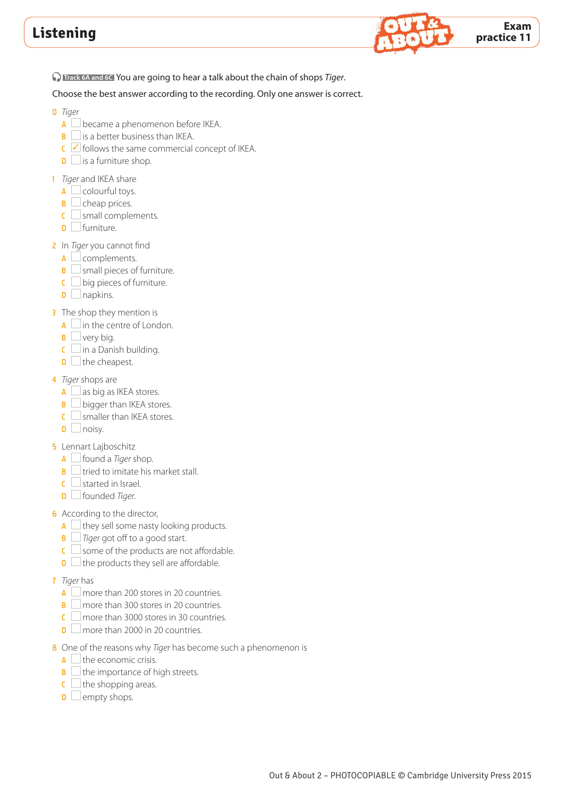

**Exam** 

 **Track 6A and 6C** You are going to hear a talk about the chain of shops *Tiger*.

- 0 *Tiger*
	- $A \Box$  became a phenomenon before IKEA.
	- $\mathbf{B}$  is a better business than IKEA.
	- $\overline{C}$   $\overline{C}$  follows the same commercial concept of IKEA.
	- $\mathbf{D}$  is a furniture shop.
- 1 *Tiger* and IKEA share
	- $A \Box$  colourful toys.
	- $\mathbf{B}$   $\Box$  cheap prices.
	- $\mathsf{C} \square$  small complements.
	- $\mathbf{D}$  furniture.
- 2 In *Tiger* you cannot find
	- $A \Box$  complements.
	- $\mathbf{B}$   $\Box$  small pieces of furniture.
	- $\mathsf{C} \square$  big pieces of furniture.
	- $\Box$  napkins.
- **3** The shop they mention is
	- $A$   $\Box$  in the centre of London.
	- $\mathbf{B}$  very big.
	- $\mathsf{C} \square$  in a Danish building.
	- $\mathbf{D}$  the cheapest.
- 4 *Tiger* shops are
	- $A \square$  as big as IKEA stores.
	- $\mathbf{B}$   $\Box$  bigger than IKEA stores.
	- $C \Box$  smaller than IKEA stores.
	- $\mathbf{D}$  noisy.
- 5 Lennart Lajboschitz
	- A **found** a *Tiger* shop.
	- $\mathbf{B} \square$  tried to imitate his market stall.
	- $\mathbf{C}$  started in Israel.
	- **D**  $\Box$  founded *Tiger*.
- **6** According to the director,
	- $A \Box$  they sell some nasty looking products.
	- **B** *Tiger* got off to a good start.
	- $\mathsf{C}$   $\Box$  some of the products are not affordable.
	- $\Box$  the products they sell are affordable.
- 7 *Tiger* has
	- $\overline{A}$  more than 200 stores in 20 countries.
	- $\overline{B}$  more than 300 stores in 20 countries.
	- $\overline{C}$  more than 3000 stores in 30 countries.
	- $\Box$  more than 2000 in 20 countries.
- 8 One of the reasons why *Tiger* has become such a phenomenon is
	- $A \square$  the economic crisis.
	- $\mathbf{B}$   $\Box$  the importance of high streets.
	- $\mathfrak{c} \square$  the shopping areas.
	- $\Box$  empty shops.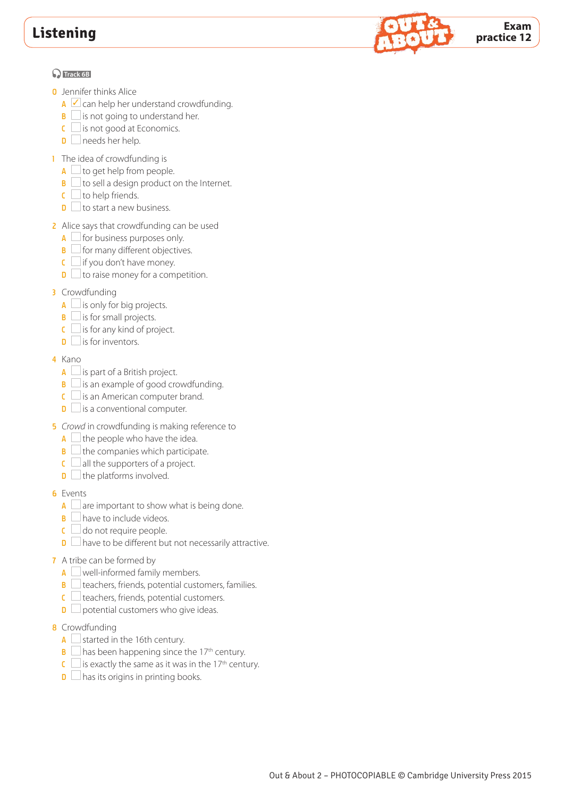

- 0 Jennifer thinks Alice
	- $\overline{A}$   $\overline{C}$  can help her understand crowdfunding.
	- $\mathbf{B}$  is not going to understand her.
	- $\mathsf{C}$   $\Box$  is not good at Economics.
	- $\Box$  needs her help.
- 1 The idea of crowdfunding is
	- $A \Box$  to get help from people.
	- $\overline{\mathbf{B}}$   $\Box$  to sell a design product on the Internet.
	- $\mathsf{C}$   $\Box$  to help friends.
	- $\mathbf{D}$   $\Box$  to start a new business.
- 2 Alice says that crowdfunding can be used
	- $A \Box$  for business purposes only.
	- $\mathbf{B}$   $\Box$  for many different objectives.
	- $\mathsf{C} \square$  if you don't have money.
	- $\mathbf{D}$   $\Box$  to raise money for a competition.
- 3 Crowdfunding
	- $A \Box$  is only for big projects.
	- $\mathbf{B}$   $\Box$  is for small projects.
	- $\mathsf{C} \square$  is for any kind of project.
	- $\Box$  is for inventors.

### 4 Kano

- $A \Box$  is part of a British project.
- $\mathbf{B}$  is an example of good crowdfunding.
- $\mathsf{C} \Box$  is an American computer brand.
- $\Box$  is a conventional computer.
- 5 *Crowd* in crowdfunding is making reference to
	- $A \Box$  the people who have the idea.
	- $\mathbf{B}$   $\Box$  the companies which participate.
	- $\mathsf{C} \square$  all the supporters of a project.
	- $\mathbf{D}$   $\Box$  the platforms involved.

### 6 Events

- $A \Box$  are important to show what is being done.
- $\mathbf{B}$   $\Box$  have to include videos.
- $\mathfrak{c}$   $\Box$  do not require people.
- $\Box$  have to be different but not necessarily attractive.

### 7 A tribe can be formed by

- $A \Box$  well-informed family members.
- $\mathbf{B}$   $\Box$  teachers, friends, potential customers, families.
- $\mathsf{C} \square$  teachers, friends, potential customers.
- $\Box$  potential customers who give ideas.

### **8** Crowdfunding

- $A \square$  started in the 16th century.
- $\mathbf{B}$   $\Box$  has been happening since the 17<sup>th</sup> century.
- $\mathbf{C} \square$  is exactly the same as it was in the 17<sup>th</sup> century.
- $\Box$  has its origins in printing books.

**Exam practice 12**